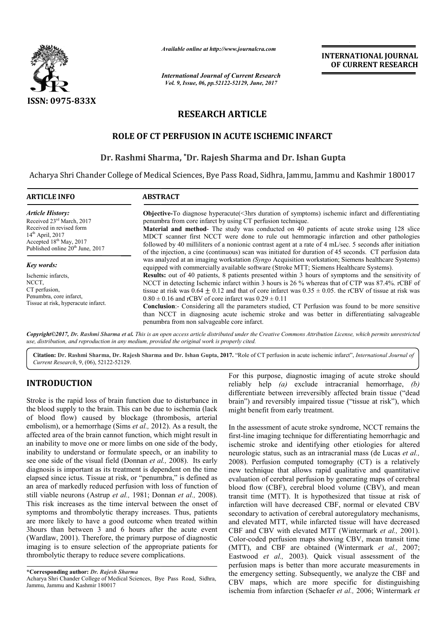

*Available online at http://www.journalcra.com*

*International Journal of Current Research Vol. 9, Issue, 06, pp.52122-52129, June, 2017*

**INTERNATIONAL JOURNAL OF CURRENT RESEARCH** 

# **RESEARCH ARTICLE**

# **ROLE OF CT PERFUSION IN ACUTE ISCHEMIC INFARCT**

### **Dr. Rashmi Sharma Sharma, \*Dr. Rajesh Sharma and Dr. Ishan Gupta Dr. Ishan**

Acharya Shri Chander College of Medical Sciences, Bye Pass Road, Sidhra, Jammu, Jammu and Kashmir 180017 Jammu, Jammu

| <b>ARTICLE INFO</b>                                                                                                                                                                                                                                                      | <b>ABSTRACT</b>                                                                                                                                                                                                                                                                                                                                                                                                                                                                                                                                                                                                                                                                                                                                                                                                                                     |
|--------------------------------------------------------------------------------------------------------------------------------------------------------------------------------------------------------------------------------------------------------------------------|-----------------------------------------------------------------------------------------------------------------------------------------------------------------------------------------------------------------------------------------------------------------------------------------------------------------------------------------------------------------------------------------------------------------------------------------------------------------------------------------------------------------------------------------------------------------------------------------------------------------------------------------------------------------------------------------------------------------------------------------------------------------------------------------------------------------------------------------------------|
| <b>Article History:</b><br>Received 23 <sup>rd</sup> March, 2017<br>penumbra from core infarct by using CT perfusion technique.<br>Received in revised form<br>$14th$ April, 2017<br>Accepted 18 <sup>th</sup> May, 2017<br>Published online 20 <sup>th</sup> June, 2017 | Objective-To diagnose hyperacute(<3hrs duration of symptoms) ischemic infarct and differentiating<br>Material and method- The study was conducted on 40 patients of acute stroke using 128 slice<br>MDCT scanner first NCCT were done to rule out hemmoragic infarction and other pathologies<br>followed by 40 milliliters of a nonionic contrast agent at a rate of 4 mL/sec. 5 seconds after initiation<br>of the injection, a cine (continuous) scan was initiated for duration of 45 seconds. CT perfusion data                                                                                                                                                                                                                                                                                                                                |
| Key words:<br>Ischemic infarcts.<br>NCCT.<br>CT perfusion,<br>Penumbra, core infarct,<br>Tissue at risk, hyperacute infarct.                                                                                                                                             | was analyzed at an imaging workstation (Syngo Acquisition workstation; Siemens healthcare Systems)<br>equipped with commercially available software (Stroke MTT; Siemens Healthcare Systems).<br><b>Results:</b> out of 40 patients, 8 patients presented within 3 hours of symptoms and the sensitivity of<br>NCCT in detecting Ischemic infarct within 3 hours is 26 % whereas that of CTP was 87.4%. rCBF of<br>tissue at risk was $0.64 + 0.12$ and that of core infarct was $0.35 \pm 0.05$ , the rCBV of tissue at risk was<br>$0.80 \pm 0.16$ and rCBV of core infarct was $0.29 \pm 0.11$<br>Conclusion:- Considering all the parameters studied, CT Perfusion was found to be more sensitive<br>than NCCT in diagnosing acute ischemic stroke and was better in differentiating salvageable<br>penumbra from non salvageable core infarct. |

*Copyright©2017, Dr. Rashmi Sharma et al. This is an open access article distributed under the Creative Commons Att Attribution License, which ribution License, permits unrestricted use, distribution, and reproduction in any medium, provided the original work is properly cited.*

Citation: Dr. Rashmi Sharma, Dr. Rajesh Sharma and Dr. Ishan Gupta, 2017. "Role of CT perfusion in acute ischemic infarct", *International Journal of Current Research*, 9, (06), 52122-52129.

### **INTRODUCTION**

Stroke is the rapid loss of brain function due to disturbance in the blood supply to the brain. This can be due to ischemia (lack of blood flow) caused by blockage (thrombosis, arterial embolism), or a hemorrhage (Sims *et al.,* 2012). As a result, the affected area of the brain cannot function, which might result in an inability to move one or more limbs on one side of the body, inability to understand or formulate speech, or an inability to see one side of the visual field (Donnan *et al.,* 2008). Its early diagnosis is important as its treatment is dependent on the time elapsed since ictus. Tissue at risk, or "penumbra," is defined as an area of markedly reduced perfusion with loss of function of still viable neurons (Astrup *et al.,* 1981; Donnan *et al.,* 2008). This risk increases as the time interval between the onset of symptoms and thrombolytic therapy increases. Thus, patients are more likely to have a good outcome when treated within 3hours than between 3 and 6 hours after the acute event (Wardlaw, 2001). Therefore, the primary purpose of diagnostic imaging is to ensure selection of the appropriate patients for thrombolytic therapy to reduce severe complications.

reliably help *(a)* exclude intracranial hemorrhage, *(b)*  differentiate between irreversibly affected brain tissue ("dead brain") and reversibly impaired tissue ("tissue at risk"), which might benefit from early treatment. For this purpose, diagnostic imaging of acute stroke should

**ICTION**<br>
For this purpose, diagnostic imaging of acute stroke should<br>
reliably help (a) exclude intractional hemotrhage.<br>
ifferentiate between irreversibly affected bran itssue ("dead<br>
pply to the brain. This can be due In the assessment of acute stroke syndrome, NCCT remains the first-line imaging technique for differentiating hemorrhagic and ischemic stroke and identifying other etiologies for altered neurologic status, such as an intracranial mass (de Lucas et al., 2008). Perfusion computed tomography (CT) is a relatively new technique that allows rapid qualitative and quantitative evaluation of cerebral perfusion by generating maps of cerebral blood flow (CBF), cerebral blood volume (CBV), and mean transit time (MTT). It is hypothesized that tissue at risk of infarction will have decreased CBF, normal or elevated CBV secondary to activation of cerebral autoregulatory mechanisms. and elevated MTT, while infarcted tissue will have decreased CBF and CBV with elevated MTT (Wintermark et al., 2001). Color-coded perfusion maps showing CBV, mean transit time Color-coded perfusion maps showing CBV, mean transit time (MTT), and CBF are obtained (Wintermark *et al.*, 2007; Eastwood *et al.,* 2003). Quick visual assessment of the perfusion maps is better than more accurate measurements in the emergency setting. Subsequently, we analyze the CBF and CBV maps, which are more specific for distinguishing ischemia from infarction (Schaefer et al., 2006; Wintermark et rentiate between irreversibly affected brain tissue ("dead") and reversibly impaired tissue ("tissue at risk"), which the benefit from early treatment.<br>Le assessment of acute stroke syndrome, NCCT remains the line imaging 2008). Perfusion computed tomography (CT) is a relatively new technique that allows rapid qualitative and quantitative evaluation of cerebral perfusion by generating maps of cerebral blood flow (CBF), cerebral blood volume better than more accurate measurements in mergency setting. Subsequently, we analyze the CBF and maps, which are more specific for distinguishing minia from infarction (Schaefer *et al.*, 2006; Wintermark *et* 

**<sup>\*</sup>Corresponding author:** *Dr. Rajesh Sharma*

Acharya Shri Chander College of Medical Sciences, Bye Pass Road, Sidhra, Jammu, Jammu and Kashmir 180017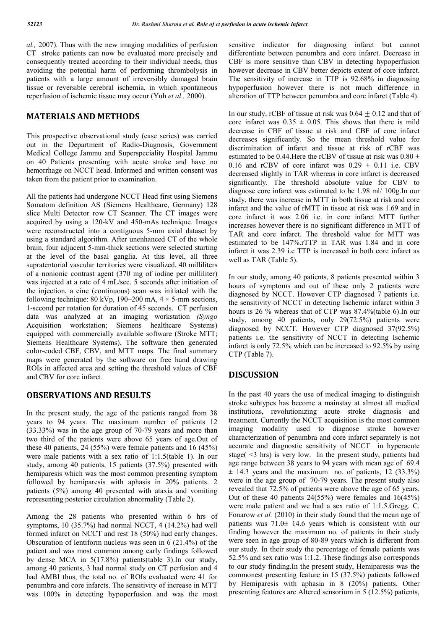*al.,* 2007). Thus with the new imaging modalities of perfusion CT stroke patients can now be evaluated more precisely and consequently treated according to their individual needs, thus avoiding the potential harm of performing thrombolysis in patients with a large amount of irreversibly damaged brain tissue or reversible cerebral ischemia, in which spontaneous reperfusion of ischemic tissue may occur (Yuh *et al.,* 2000).

# **MATERIALS AND METHODS**

This prospective observational study (case series) was carried out in the Department of Radio-Diagnosis, Government Medical College Jammu and Superspeciality Hospital Jammu on 40 Patients presenting with acute stroke and have no hemorrhage on NCCT head. Informed and written consent was taken from the patient prior to examination.

All the patients had undergone NCCT Head first using Siemens Somatom definition AS (Siemens Healthcare, Germany) 128 slice Multi Detector row CT Scanner. The CT images were acquired by using a 120-kV and 450-mAs technique. Images were reconstructed into a contiguous 5-mm axial dataset by using a standard algorithm. After unenhanced CT of the whole brain, four adjacent 5-mm-thick sections were selected starting at the level of the basal ganglia. At this level, all three supratentorial vascular territories were visualized. 40 milliliters of a nonionic contrast agent (370 mg of iodine per milliliter) was injected at a rate of 4 mL/sec. 5 seconds after initiation of the injection, a cine (continuous) scan was initiated with the following technique: 80 kVp, 190–200 mA,  $4 \times 5$ -mm sections, 1-second per rotation for duration of 45 seconds. CT perfusion data was analyzed at an imaging workstation *(Syngo* Acquisition workstation; Siemens healthcare Systems) equipped with commercially available software (Stroke MTT; Siemens Healthcare Systems). The software then generated color-coded CBF, CBV, and MTT maps. The final summary maps were generated by the software on free hand drawing ROIs in affected area and setting the threshold values of CBF and CBV for core infarct.

### **OBSERVATIONS AND RESULTS**

In the present study, the age of the patients ranged from 38 years to 94 years. The maximum number of patients 12 (33.33%) was in the age group of 70-79 years and more than two third of the patients were above 65 years of age.Out of these 40 patients, 24 (55%) were female patients and 16 (45%) were male patients with a sex ratio of 1:1.5(table 1). In our study, among 40 patients, 15 patients (37.5%) presented with hemiparesis which was the most common presenting symptom followed by hemiparesis with aphasis in 20% patients. 2 patients (5%) among 40 presented with ataxia and vomiting representing posterior circulation abnormality (Table 2).

Among the 28 patients who presented within 6 hrs of symptoms, 10 (35.7%) had normal NCCT, 4 (14.2%) had well formed infarct on NCCT and rest 18 (50%) had early changes. Obscuration of lentiform nucleus was seen in 6 (21.4%) of the patient and was most common among early findings followed by dense MCA in 5(17.8%) patients(table 3).In our study, among 40 patients, 3 had normal study on CT perfusion and 4 had AMBI thus, the total no. of ROIs evaluated were 41 for penumbra and core infarcts. The sensitivity of increase in MTT was 100% in detecting hypoperfusion and was the most sensitive indicator for diagnosing infarct but cannot differentiate between penumbra and core infarct. Decrease in CBF is more sensitive than CBV in detecting hypoperfusion however decrease in CBV better depicts extent of core infarct. The sensitivity of increase in TTP is 92.68% in diagnosing hypoperfusion however there is not much difference in alteration of TTP between penumbra and core infarct (Table 4).

In our study, rCBF of tissue at risk was  $0.64 \pm 0.12$  and that of core infarct was  $0.35 \pm 0.05$ . This shows that there is mild decrease in CBF of tissue at risk and CBF of core infarct decreases significantly. So the mean threshold value for discrimination of infarct and tissue at risk of rCBF was estimated to be 0.44. Here the rCBV of tissue at risk was  $0.80 \pm$ 0.16 and rCBV of core infarct was  $0.29 \pm 0.11$  i.e. CBV decreased slightly in TAR whereas in core infarct is decreased significantly. The threshold absolute value for CBV to diagnose core infarct was estimated to be 1.98 ml/ 100g.In our study, there was increase in MTT in both tissue at risk and core infarct and the value of rMTT in tissue at risk was 1.69 and in core infarct it was 2.06 i.e. in core infarct MTT further increases however there is no significant difference in MTT of TAR and core infarct. The threshold value for MTT was estimated to be 147%.rTTP in TAR was 1.84 and in core infarct it was 2.39 i.e TTP is increased in both core infarct as well as TAR (Table 5).

In our study, among 40 patients, 8 patients presented within 3 hours of symptoms and out of these only 2 patients were diagnosed by NCCT. However CTP diagnosed 7 patients i.e. the sensitivity of NCCT in detecting Ischemic infarct within 3 hours is 26 % whereas that of CTP was 87.4%(table 6).In our study, among 40 patients, only 29(72.5%) patients were diagnosed by NCCT. However CTP diagnosed 37(92.5%) patients i.e. the sensitivity of NCCT in detecting Ischemic infarct is only 72.5% which can be increased to 92.5% by using CTP (Table 7).

### **DISCUSSION**

In the past 40 years the use of medical imaging to distinguish stroke subtypes has become a mainstay at almost all medical institutions, revolutionizing acute stroke diagnosis and treatment. Currently the NCCT acquisition is the most common imaging modality used to diagnose stroke however characterization of penumbra and core infarct separately is not accurate and diagnostic sensitivity of NCCT in hyperacute stage( <3 hrs) is very low. In the present study, patients had age range between 38 years to 94 years with mean age of 69.4  $\pm$  14.3 years and the maximum no. of patients, 12 (33.3%) were in the age group of 70-79 years. The present study also revealed that 72.5% of patients were above the age of 65 years. Out of these 40 patients 24(55%) were females and 16(45%) were male patient and we had a sex ratio of 1:1.5.Gregg. C. Fonarow *et al.* (2010) in their study found that the mean age of patients was 71.0± 14.6 years which is consistent with our finding however the maximum no. of patients in their study were seen in age group of 80-89 years which is different from our study. In their study the percentage of female patients was 52.5% and sex ratio was 1:1.2. These findings also corresponds to our study finding.In the present study, Hemiparesis was the commonest presenting feature in 15 (37.5%) patients followed by Hemiparesis with aphasia in 8 (20%) patients. Other presenting features are Altered sensorium in 5 (12.5%) patients,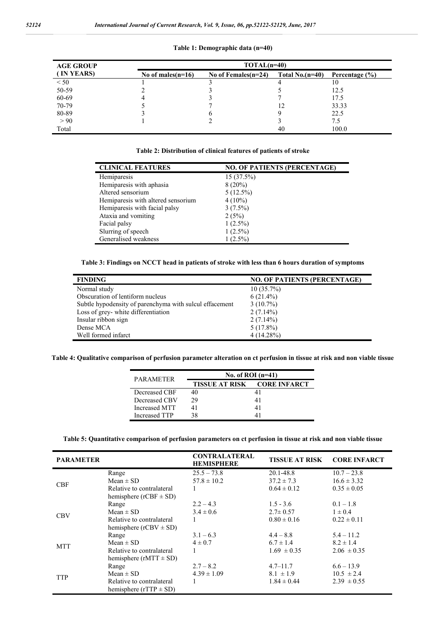|  | Table 1: Demographic data (n=40) |  |
|--|----------------------------------|--|
|--|----------------------------------|--|

| <b>AGE GROUP</b> | $TOTAL(n=40)$        |                        |                  |                    |
|------------------|----------------------|------------------------|------------------|--------------------|
| (IN YEARS)       | No of males $(n=16)$ | No of Females $(n=24)$ | Total $No(n=40)$ | Percentage $(\% )$ |
| < 50             |                      |                        |                  | 10                 |
| 50-59            |                      |                        |                  | 12.5               |
| 60-69            |                      |                        |                  | 17.5               |
| 70-79            |                      |                        | 12               | 33.33              |
| 80-89            |                      |                        |                  | 22.5               |
| > 90             |                      |                        |                  | 7.5                |
| Total            |                      |                        | 40               | 100.0              |

**Table 2: Distribution of clinical features of patients of stroke**

| <b>CLINICAL FEATURES</b>           | <b>NO. OF PATIENTS (PERCENTAGE)</b> |
|------------------------------------|-------------------------------------|
| Hemiparesis                        | 15(37.5%)                           |
| Hemiparesis with aphasia           | $8(20\%)$                           |
| Altered sensorium                  | $5(12.5\%)$                         |
| Hemiparesis with altered sensorium | $4(10\%)$                           |
| Hemiparesis with facial palsy      | $3(7.5\%)$                          |
| Ataxia and vomiting                | 2(5%)                               |
| Facial palsy                       | $1(2.5\%)$                          |
| Slurring of speech                 | $1(2.5\%)$                          |
| Generalised weakness               | $1(2.5\%)$                          |

**Table 3: Findings on NCCT head in patients of stroke with less than 6 hours duration of symptoms**

| <b>FINDING</b>                                          | <b>NO. OF PATIENTS (PERCENTAGE)</b> |
|---------------------------------------------------------|-------------------------------------|
| Normal study                                            | $10(35.7\%)$                        |
| Obscuration of lentiform nucleus                        | $6(21.4\%)$                         |
| Subtle hypodensity of parenchyma with sulcul effacement | $3(10.7\%)$                         |
| Loss of grey-white differentiation                      | $2(7.14\%)$                         |
| Insular ribbon sign                                     | $2(7.14\%)$                         |
| Dense MCA                                               | $5(17.8\%)$                         |
| Well formed infarct                                     | $4(14.28\%)$                        |

**Table 4: Qualitative comparison of perfusion parameter alteration on ct perfusion in tissue at risk and non viable tissue**

| <b>PARAMETER</b> | No. of ROI $(n=41)$ |                                    |  |
|------------------|---------------------|------------------------------------|--|
|                  |                     | <b>TISSUE AT RISK CORE INFARCT</b> |  |
| Decreased CBF    | 40                  |                                    |  |
| Decreased CBV    | 29                  | 41                                 |  |
| Increased MTT    | 41                  | 41                                 |  |
| Increased TTP    | 38                  |                                    |  |

**Table 5: Quantitative comparison of perfusion parameters on ct perfusion in tissue at risk and non viable tissue**

| <b>PARAMETER</b> |                              | <b>CONTRALATERAL</b><br><b>HEMISPHERE</b> | <b>TISSUE AT RISK</b> | <b>CORE INFARCT</b> |
|------------------|------------------------------|-------------------------------------------|-----------------------|---------------------|
|                  | Range                        | $25.5 - 73.8$                             | 20.1-48.8             | $10.7 - 23.8$       |
| <b>CBF</b>       | Mean $\pm$ SD                | $57.8 \pm 10.2$                           | $37.2 \pm 7.3$        | $16.6 \pm 3.32$     |
|                  | Relative to contralateral    | 1                                         | $0.64 \pm 0.12$       | $0.35 \pm 0.05$     |
|                  | hemisphere ( $rCBF \pm SD$ ) |                                           |                       |                     |
|                  | Range                        | $2.2 - 4.3$                               | $1.5 - 3.6$           | $0.1 - 1.8$         |
|                  | $Mean \pm SD$                | $3.4 \pm 0.6$                             | $2.7 \pm 0.57$        | $1 \pm 0.4$         |
| <b>CBV</b>       | Relative to contralateral    | 1                                         | $0.80 \pm 0.16$       | $0.22 \pm 0.11$     |
|                  | hemisphere ( $rCBV \pm SD$ ) |                                           |                       |                     |
|                  | Range                        | $3.1 - 6.3$                               | $4.4 - 8.8$           | $5.4 - 11.2$        |
|                  | Mean $\pm$ SD                | $4 \pm 0.7$                               | $6.7 \pm 1.4$         | $8.2 \pm 1.4$       |
| <b>MTT</b>       | Relative to contralateral    | 1                                         | $1.69 \pm 0.35$       | $2.06 \pm 0.35$     |
|                  | hemisphere ( $rMTT \pm SD$ ) |                                           |                       |                     |
|                  | Range                        | $2.7 - 8.2$                               | $4.7 - 11.7$          | $6.6 - 13.9$        |
|                  | $Mean \pm SD$                | $4.39 \pm 1.09$                           | $8.1 \pm 1.9$         | $10.5 \pm 2.4$      |
| <b>TTP</b>       | Relative to contralateral    |                                           | $1.84 \pm 0.44$       | $2.39 \pm 0.55$     |
|                  | hemisphere ( $rTTP \pm SD$ ) |                                           |                       |                     |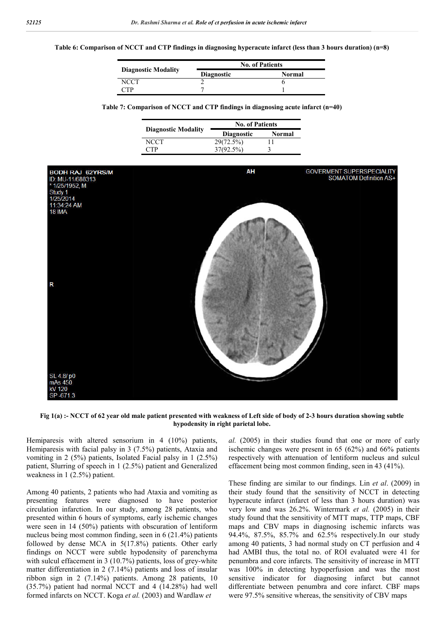#### **Table 6: Comparison of NCCT and CTP findings in diagnosing hyperacute infarct (less than 3 hours duration) (n=8)**

|                            | <b>No. of Patients</b>      |  |  |
|----------------------------|-----------------------------|--|--|
| <b>Diagnostic Modality</b> | <b>Diagnostic</b><br>Normal |  |  |
| NCCT                       |                             |  |  |
| ٦TP                        |                             |  |  |

| Table 7: Comparison of NCCT and CTP findings in diagnosing acute infarct (n=40) |  |  |  |
|---------------------------------------------------------------------------------|--|--|--|
|                                                                                 |  |  |  |

|                            | <b>No. of Patients</b> |        |  |
|----------------------------|------------------------|--------|--|
| <b>Diagnostic Modality</b> | <b>Diagnostic</b>      | Normal |  |
| NCCT                       | 29(72.5%)              |        |  |
| CTP                        | 37(92.5%)              |        |  |



**Fig 1(a) :- NCCT of 62 year old male patient presented with weakness of Left side of body of 2-3 hours duration showing subtle hypodensity in right parietal lobe.**

Hemiparesis with altered sensorium in 4 (10%) patients, Hemiparesis with facial palsy in 3 (7.5%) patients, Ataxia and vomiting in 2 (5%) patients, Isolated Facial palsy in 1 (2.5%) patient, Slurring of speech in 1 (2.5%) patient and Generalized weakness in 1 (2.5%) patient.

Among 40 patients, 2 patients who had Ataxia and vomiting as presenting features were diagnosed to have posterior circulation infarction. In our study, among 28 patients, who presented within 6 hours of symptoms, early ischemic changes were seen in 14 (50%) patients with obscuration of lentiform nucleus being most common finding, seen in 6 (21.4%) patients followed by dense MCA in 5(17.8%) patients. Other early findings on NCCT were subtle hypodensity of parenchyma with sulcul effacement in 3 (10.7%) patients, loss of grey-white matter differentiation in 2 (7.14%) patients and loss of insular ribbon sign in 2 (7.14%) patients. Among 28 patients, 10 (35.7%) patient had normal NCCT and 4 (14.28%) had well formed infarcts on NCCT. Koga *et al.* (2003) and Wardlaw *et*

*al.* (2005) in their studies found that one or more of early ischemic changes were present in 65 (62%) and 66% patients respectively with attenuation of lentiform nucleus and sulcul effacement being most common finding, seen in 43 (41%).

These finding are similar to our findings. Lin *et al*. (2009) in their study found that the sensitivity of NCCT in detecting hyperacute infarct (infarct of less than 3 hours duration) was very low and was 26.2%. Wintermark *et al.* (2005) in their study found that the sensitivity of MTT maps, TTP maps, CBF maps and CBV maps in diagnosing ischemic infarcts was 94.4%, 87.5%, 85.7% and 62.5% respectively.In our study among 40 patients, 3 had normal study on CT perfusion and 4 had AMBI thus, the total no. of ROI evaluated were 41 for penumbra and core infarcts. The sensitivity of increase in MTT was 100% in detecting hypoperfusion and was the most sensitive indicator for diagnosing infarct but cannot differentiate between penumbra and core infarct. CBF maps were 97.5% sensitive whereas, the sensitivity of CBV maps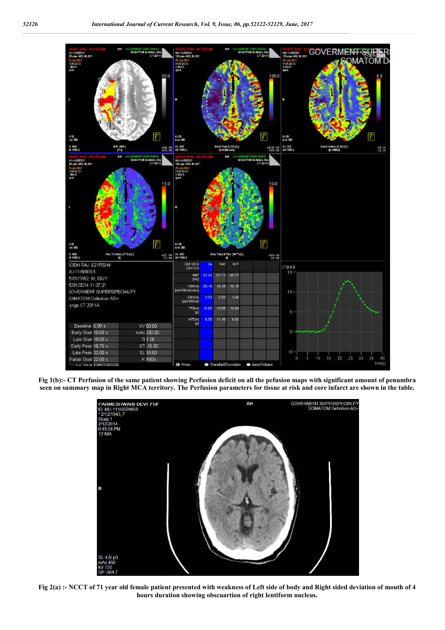

**Fig 1(b):- CT Perfusion of the same patient showing Perfusion deficit on all the pefusion maps with significant amount of penumbra seen on summary map in Right MCA territory. The Perfusion parameters for tissue at risk and core infarct are shown in the table.**



**Fig 2(a) :- NCCT of 71 year old female patient presented with weakness of Left side of body and Right sided deviation of mouth of 4 hours duration showing obscuartion of right lentiform nucleus.**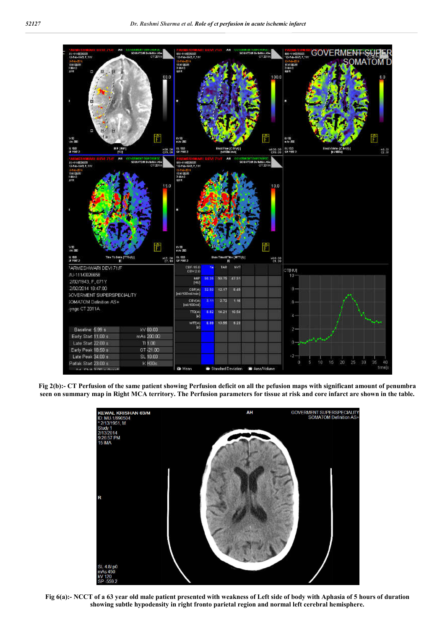

**Fig 2(b):- CT Perfusion of the same patient showing Perfusion deficit on all the pefusion maps with significant amount of penumbra seen on summary map in Right MCA territory. The Perfusion parameters for tissue at risk and core infarct are shown in the table.**



**Fig 6(a):- NCCT of a 63 year old male patient presented with weakness of Left side of body with Aphasia of 5 hours of duration showing subtle hypodensity in right fronto parietal region and normal left cerebral hemisphere.**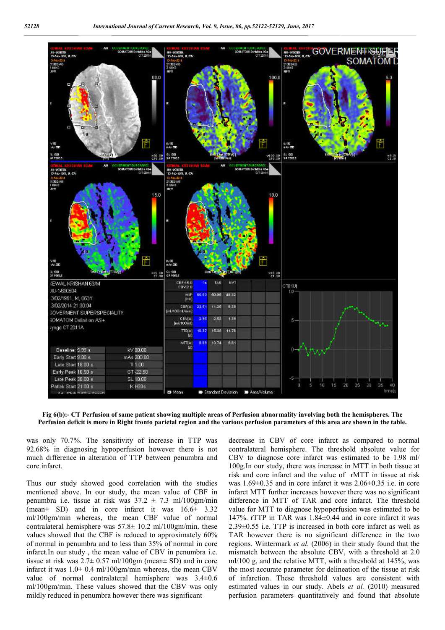

**Fig 6(b):- CT Perfusion of same patient showing multiple areas of Perfusion abnormality involving both the hemispheres. The Perfusion deficit is more in Right fronto parietal region and the various perfusion parameters of this area are shown in the table.**

was only 70.7%. The sensitivity of increase in TTP was 92.68% in diagnosing hypoperfusion however there is not much difference in alteration of TTP between penumbra and core infarct.

Thus our study showed good correlation with the studies mentioned above. In our study, the mean value of CBF in penumbra i.e. tissue at risk was  $37.2 \pm 7.3$  ml/100gm/min (mean $\pm$  SD) and in core infarct it was  $16.6\pm$  3.32 ml/100gm/min whereas, the mean CBF value of normal contralateral hemisphere was  $57.8 \pm 10.2$  ml/100gm/min. these values showed that the CBF is reduced to approximately 60% of normal in penumbra and to less than 35% of normal in core infarct.In our study , the mean value of CBV in penumbra i.e. tissue at risk was  $2.7 \pm 0.57$  ml/100gm (mean $\pm$  SD) and in core infarct it was  $1.0\pm 0.4$  ml/100gm/min whereas, the mean CBV value of normal contralateral hemisphere was 3.4±0.6 ml/100gm/min. These values showed that the CBV was only mildly reduced in penumbra however there was significant

decrease in CBV of core infarct as compared to normal contralateral hemisphere. The threshold absolute value for CBV to diagnose core infarct was estimated to be 1.98 ml/ 100g.In our study, there was increase in MTT in both tissue at risk and core infarct and the value of rMTT in tissue at risk was 1.69±0.35 and in core infarct it was 2.06±0.35 i.e. in core infarct MTT further increases however there was no significant difference in MTT of TAR and core infarct. The threshold value for MTT to diagnose hypoperfusion was estimated to be 147%. rTTP in TAR was 1.84±0.44 and in core infarct it was 2.39±0.55 i.e. TTP is increased in both core infarct as well as TAR however there is no significant difference in the two regions. Wintermark *et al.* (2006) in their study found that the mismatch between the absolute CBV, with a threshold at 2.0 ml/100 g, and the relative MTT, with a threshold at 145%, was the most accurate parameter for delineation of the tissue at risk of infarction. These threshold values are consistent with estimated values in our study. Abels *et al.* (2010) measured perfusion parameters quantitatively and found that absolute